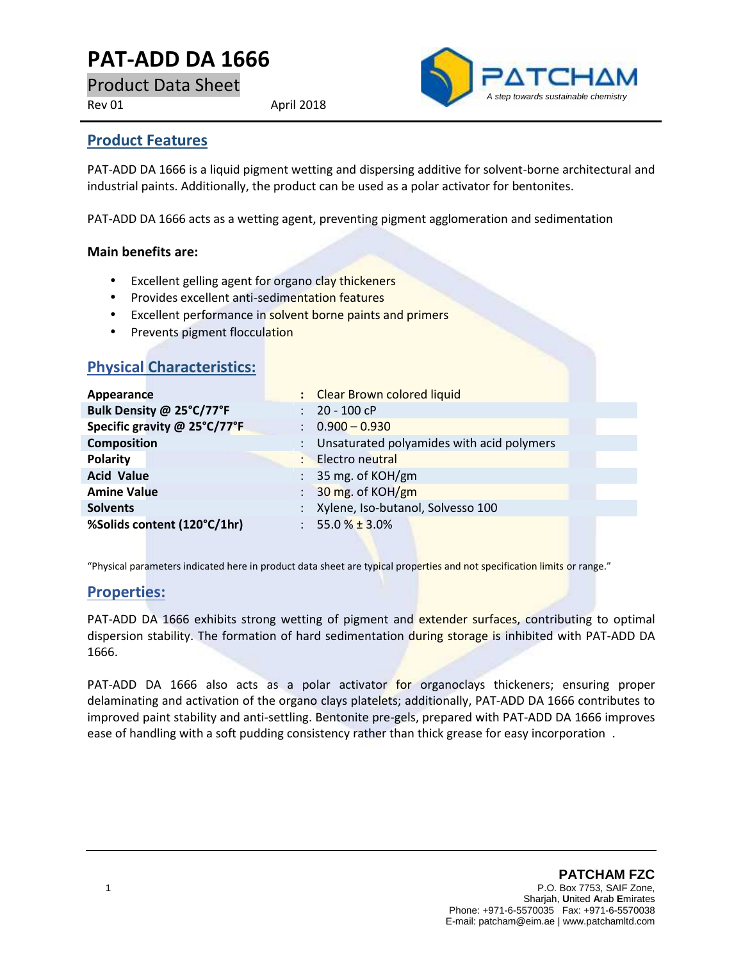# **PAT-ADD DA 1666**

Product Data Sheet

Rev 01 April 2018



### **Product Features**

PAT-ADD DA 1666 is a liquid pigment wetting and dispersing additive for solvent-borne architectural and industrial paints. Additionally, the product can be used as a polar activator for bentonites.

PAT-ADD DA 1666 acts as a wetting agent, preventing pigment agglomeration and sedimentation

#### **Main benefits are:**

- Excellent gelling agent for organo clay thickeners
- **•** Provides excellent anti-sedimentation features
- **Excellent performance in solvent borne paints and primers**
- Prevents pigment flocculation

**Physical Characteristics:**

| Appearance                   | : Clear Brown colored liquid                |
|------------------------------|---------------------------------------------|
| Bulk Density @ 25°C/77°F     | $: 20 - 100$ cP                             |
| Specific gravity @ 25°C/77°F | $\therefore$ 0.900 - 0.930                  |
| <b>Composition</b>           | : Unsaturated polyamides with acid polymers |
| <b>Polarity</b>              | <b>Electro</b> neutral<br>÷                 |
| <b>Acid Value</b>            | $: 35$ mg. of KOH/gm                        |
| <b>Amine Value</b>           | $\frac{1}{2}$ 30 mg. of KOH/gm              |
| <b>Solvents</b>              | : Xylene, Iso-butanol, Solvesso 100         |
| %Solids content (120°C/1hr)  | $: 55.0\% \pm 3.0\%$                        |
|                              |                                             |

"Physical parameters indicated here in product data sheet are typical properties and not specification limits or range."

## **Properties:**

PAT-ADD DA 1666 exhibits strong wetting of pigment and extender surfaces, contributing to optimal dispersion stability. The formation of hard sedimentation during storage is inhibited with PAT-ADD DA 1666.

PAT-ADD DA 1666 also acts as a polar activator for organoclays thickeners; ensuring proper delaminating and activation of the organo clays platelets; additionally, PAT-ADD DA 1666 contributes to improved paint stability and anti-settling. Bentonite pre-gels, prepared with PAT-ADD DA 1666 improves ease of handling with a soft pudding consistency rather than thick grease for easy incorporation .